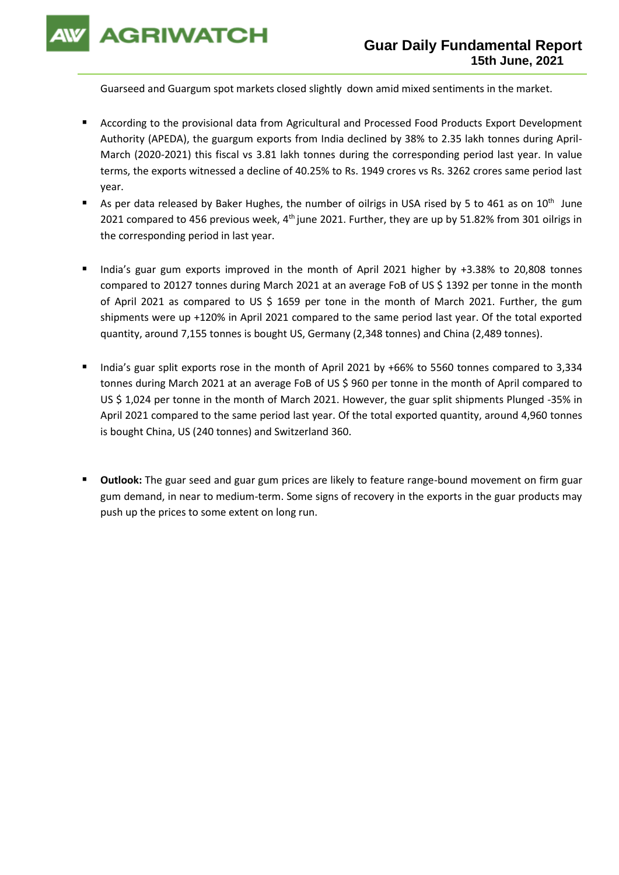**AGRIWATCH** 

Guarseed and Guargum spot markets closed slightly down amid mixed sentiments in the market.

- According to the provisional data from Agricultural and Processed Food Products Export Development Authority (APEDA), the guargum exports from India declined by 38% to 2.35 lakh tonnes during April-March (2020-2021) this fiscal vs 3.81 lakh tonnes during the corresponding period last year. In value terms, the exports witnessed a decline of 40.25% to Rs. 1949 crores vs Rs. 3262 crores same period last year.
- As per data released by Baker Hughes, the number of oilrigs in USA rised by 5 to 461 as on  $10^{th}$  June 2021 compared to 456 previous week,  $4<sup>th</sup>$  june 2021. Further, they are up by 51.82% from 301 oilrigs in the corresponding period in last year.
- India's guar gum exports improved in the month of April 2021 higher by +3.38% to 20,808 tonnes compared to 20127 tonnes during March 2021 at an average FoB of US \$ 1392 per tonne in the month of April 2021 as compared to US \$ 1659 per tone in the month of March 2021. Further, the gum shipments were up +120% in April 2021 compared to the same period last year. Of the total exported quantity, around 7,155 tonnes is bought US, Germany (2,348 tonnes) and China (2,489 tonnes).
- India's guar split exports rose in the month of April 2021 by +66% to 5560 tonnes compared to 3,334 tonnes during March 2021 at an average FoB of US \$ 960 per tonne in the month of April compared to US \$ 1,024 per tonne in the month of March 2021. However, the guar split shipments Plunged -35% in April 2021 compared to the same period last year. Of the total exported quantity, around 4,960 tonnes is bought China, US (240 tonnes) and Switzerland 360.
- **Outlook:** The guar seed and guar gum prices are likely to feature range-bound movement on firm guar gum demand, in near to medium-term. Some signs of recovery in the exports in the guar products may push up the prices to some extent on long run.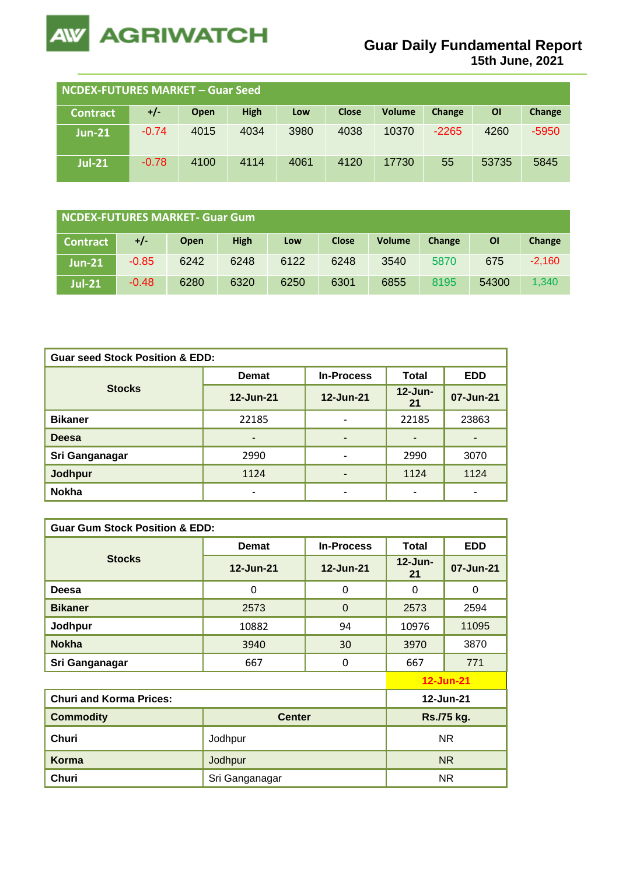

| NCDEX-FUTURES MARKET - Guar Seed |         |      |             |      |              |               |         |       |         |
|----------------------------------|---------|------|-------------|------|--------------|---------------|---------|-------|---------|
| <b>Contract</b>                  | $+/-$   | Open | <b>High</b> | Low  | <b>Close</b> | <b>Volume</b> | Change  | ΟI    | Change  |
| <b>Jun-21</b>                    | $-0.74$ | 4015 | 4034        | 3980 | 4038         | 10370         | $-2265$ | 4260  | $-5950$ |
| <b>Jul-21</b>                    | $-0.78$ | 4100 | 4114        | 4061 | 4120         | 17730         | 55      | 53735 | 5845    |

| NCDEX-FUTURES MARKET- Guar Gum |         |             |      |      |              |               |        |       |          |
|--------------------------------|---------|-------------|------|------|--------------|---------------|--------|-------|----------|
| <b>Contract</b>                | +/-     | <b>Open</b> | High | Low  | <b>Close</b> | <b>Volume</b> | Change | ΟI    | Change   |
| <b>Jun-21</b>                  | $-0.85$ | 6242        | 6248 | 6122 | 6248         | 3540          | 5870   | 675   | $-2,160$ |
| <b>Jul-21</b>                  | $-0.48$ | 6280        | 6320 | 6250 | 6301         | 6855          | 8195   | 54300 | 1.340    |

| <b>Guar seed Stock Position &amp; EDD:</b> |              |                   |                          |                          |  |  |  |
|--------------------------------------------|--------------|-------------------|--------------------------|--------------------------|--|--|--|
|                                            | <b>Demat</b> | <b>In-Process</b> | <b>Total</b>             | <b>EDD</b>               |  |  |  |
| <b>Stocks</b>                              | 12-Jun-21    | 12-Jun-21         | $12$ -Jun-<br>21         | 07-Jun-21                |  |  |  |
| <b>Bikaner</b>                             | 22185        | ۰                 | 22185                    | 23863                    |  |  |  |
| <b>Deesa</b>                               | -            | ٠                 | $\overline{\phantom{0}}$ | $\overline{\phantom{0}}$ |  |  |  |
| Sri Ganganagar                             | 2990         | ۰                 | 2990                     | 3070                     |  |  |  |
| <b>Jodhpur</b>                             | 1124         | -                 | 1124                     | 1124                     |  |  |  |
| <b>Nokha</b>                               | -            | ۰                 |                          | $\overline{\phantom{0}}$ |  |  |  |

| <b>Guar Gum Stock Position &amp; EDD:</b> |                |                   |                  |                  |  |  |  |
|-------------------------------------------|----------------|-------------------|------------------|------------------|--|--|--|
|                                           | <b>Demat</b>   | <b>In-Process</b> | Total            | <b>EDD</b>       |  |  |  |
| <b>Stocks</b>                             | 12-Jun-21      | 12-Jun-21         | $12$ -Jun-<br>21 | 07-Jun-21        |  |  |  |
| Deesa                                     | 0              | 0                 | 0                | $\Omega$         |  |  |  |
| <b>Bikaner</b>                            | 2573           | $\Omega$          | 2573             | 2594             |  |  |  |
| Jodhpur                                   | 10882          | 94                | 10976            | 11095            |  |  |  |
| <b>Nokha</b>                              | 3940           | 30                | 3970             | 3870             |  |  |  |
| Sri Ganganagar                            | 667            | 0                 | 667              | 771              |  |  |  |
|                                           |                |                   |                  | <b>12-Jun-21</b> |  |  |  |
| <b>Churi and Korma Prices:</b>            |                |                   |                  | 12-Jun-21        |  |  |  |
| <b>Commodity</b>                          | <b>Center</b>  |                   | Rs./75 kg.       |                  |  |  |  |
| Churi                                     | Jodhpur        | <b>NR</b>         |                  |                  |  |  |  |
| <b>Korma</b>                              | Jodhpur        | <b>NR</b>         |                  |                  |  |  |  |
| Churi                                     | Sri Ganganagar |                   | <b>NR</b>        |                  |  |  |  |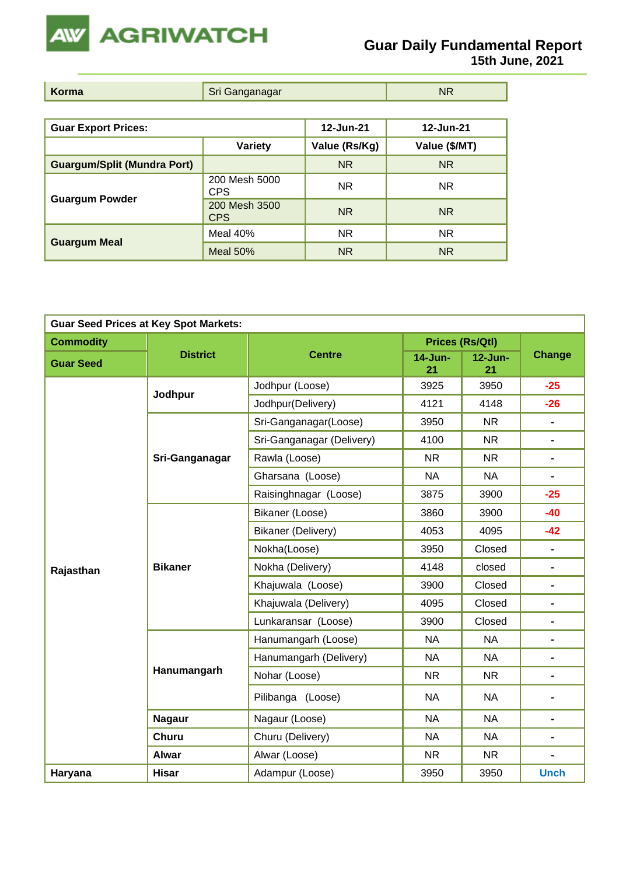

| Korma | ∕ Sri Ganganagar | <b>NR</b> |
|-------|------------------|-----------|
|-------|------------------|-----------|

| <b>Guar Export Prices:</b>         |                             | 12-Jun-21     | 12-Jun-21     |
|------------------------------------|-----------------------------|---------------|---------------|
|                                    | Variety                     | Value (Rs/Kg) | Value (\$/MT) |
| <b>Guargum/Split (Mundra Port)</b> |                             | <b>NR</b>     | <b>NR</b>     |
|                                    | 200 Mesh 5000<br>CPS        | <b>NR</b>     | <b>NR</b>     |
| <b>Guargum Powder</b>              | 200 Mesh 3500<br><b>CPS</b> | <b>NR</b>     | <b>NR</b>     |
|                                    | Meal 40%                    | <b>NR</b>     | <b>NR</b>     |
| <b>Guargum Meal</b>                | <b>Meal 50%</b>             | <b>NR</b>     | <b>NR</b>     |

|                  | <b>Guar Seed Prices at Key Spot Markets:</b> |                           |                      |                        |                              |  |
|------------------|----------------------------------------------|---------------------------|----------------------|------------------------|------------------------------|--|
| <b>Commodity</b> |                                              |                           |                      | <b>Prices (Rs/Qtl)</b> |                              |  |
| <b>Guar Seed</b> | <b>District</b>                              | <b>Centre</b>             | <b>14-Jun-</b><br>21 | $12$ -Jun-<br>21       | <b>Change</b>                |  |
|                  | Jodhpur                                      | Jodhpur (Loose)           | 3925                 | 3950                   | $-25$                        |  |
|                  |                                              | Jodhpur(Delivery)         | 4121                 | 4148                   | $-26$                        |  |
|                  |                                              | Sri-Ganganagar(Loose)     | 3950                 | <b>NR</b>              | $\blacksquare$               |  |
|                  |                                              | Sri-Ganganagar (Delivery) | 4100                 | <b>NR</b>              | $\blacksquare$               |  |
|                  | Sri-Ganganagar                               | Rawla (Loose)             | <b>NR</b>            | <b>NR</b>              | $\blacksquare$               |  |
|                  |                                              | Gharsana (Loose)          | <b>NA</b>            | <b>NA</b>              | $\blacksquare$               |  |
|                  |                                              | Raisinghnagar (Loose)     | 3875                 | 3900                   | $-25$                        |  |
|                  | <b>Bikaner</b>                               | Bikaner (Loose)           | 3860                 | 3900                   | $-40$                        |  |
|                  |                                              | Bikaner (Delivery)        | 4053                 | 4095                   | $-42$                        |  |
|                  |                                              | Nokha(Loose)              | 3950                 | Closed                 | $\blacksquare$               |  |
| Rajasthan        |                                              | Nokha (Delivery)          | 4148                 | closed                 | $\blacksquare$               |  |
|                  |                                              | Khajuwala (Loose)         | 3900                 | Closed                 | $\blacksquare$               |  |
|                  |                                              | Khajuwala (Delivery)      | 4095                 | Closed                 | $\qquad \qquad \blacksquare$ |  |
|                  |                                              | Lunkaransar (Loose)       | 3900                 | Closed                 | $\blacksquare$               |  |
|                  |                                              | Hanumangarh (Loose)       | <b>NA</b>            | <b>NA</b>              | $\qquad \qquad \blacksquare$ |  |
|                  |                                              | Hanumangarh (Delivery)    | <b>NA</b>            | <b>NA</b>              | $\blacksquare$               |  |
|                  | Hanumangarh                                  | Nohar (Loose)             | <b>NR</b>            | <b>NR</b>              | $\qquad \qquad \blacksquare$ |  |
|                  |                                              | Pilibanga (Loose)         | <b>NA</b>            | <b>NA</b>              | $\qquad \qquad \blacksquare$ |  |
|                  | <b>Nagaur</b>                                | Nagaur (Loose)            | <b>NA</b>            | <b>NA</b>              | $\blacksquare$               |  |
|                  | <b>Churu</b>                                 | Churu (Delivery)          | <b>NA</b>            | <b>NA</b>              | $\blacksquare$               |  |
|                  | <b>Alwar</b>                                 | Alwar (Loose)             | <b>NR</b>            | <b>NR</b>              | $\qquad \qquad \blacksquare$ |  |
| Haryana          | <b>Hisar</b>                                 | Adampur (Loose)           | 3950                 | 3950                   | <b>Unch</b>                  |  |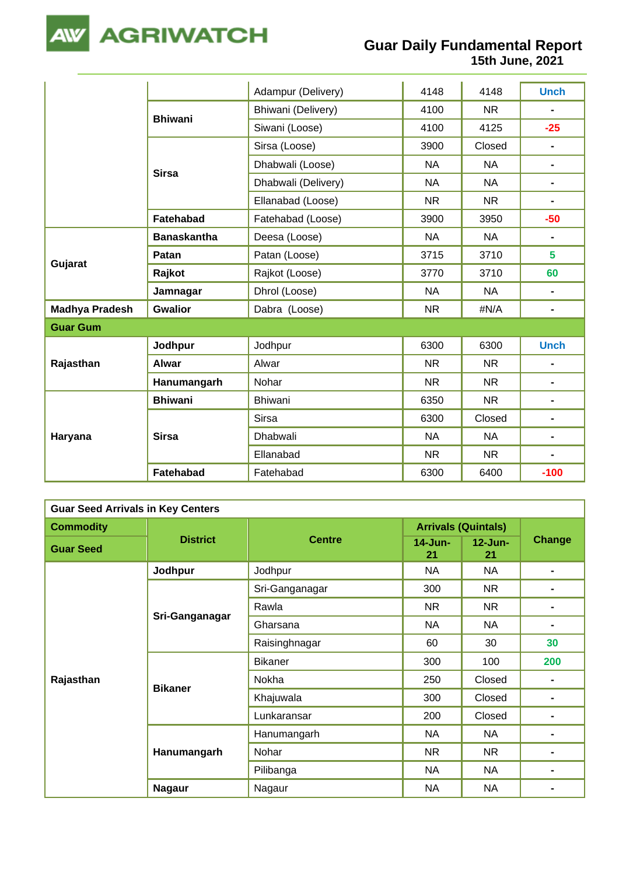

|                       |                    | Adampur (Delivery)  | 4148      | 4148      | <b>Unch</b>    |
|-----------------------|--------------------|---------------------|-----------|-----------|----------------|
|                       | <b>Bhiwani</b>     | Bhiwani (Delivery)  | 4100      | <b>NR</b> |                |
|                       |                    | Siwani (Loose)      | 4100      | 4125      | $-25$          |
|                       |                    | Sirsa (Loose)       | 3900      | Closed    | $\frac{1}{2}$  |
|                       | <b>Sirsa</b>       | Dhabwali (Loose)    | <b>NA</b> | <b>NA</b> | $\blacksquare$ |
|                       |                    | Dhabwali (Delivery) | <b>NA</b> | <b>NA</b> | $\blacksquare$ |
|                       |                    | Ellanabad (Loose)   | <b>NR</b> | <b>NR</b> | -              |
|                       | Fatehabad          | Fatehabad (Loose)   | 3900      | 3950      | $-50$          |
|                       | <b>Banaskantha</b> | Deesa (Loose)       | <b>NA</b> | <b>NA</b> | $\blacksquare$ |
|                       | Patan              | Patan (Loose)       | 3715      | 3710      | 5              |
| Gujarat               | Rajkot             | Rajkot (Loose)      | 3770      | 3710      | 60             |
|                       | Jamnagar           | Dhrol (Loose)       | <b>NA</b> | <b>NA</b> | $\blacksquare$ |
| <b>Madhya Pradesh</b> | <b>Gwalior</b>     | Dabra (Loose)       | <b>NR</b> | #N/A      | $\blacksquare$ |
| <b>Guar Gum</b>       |                    |                     |           |           |                |
|                       | Jodhpur            | Jodhpur             | 6300      | 6300      | <b>Unch</b>    |
| Rajasthan             | <b>Alwar</b>       | Alwar               | <b>NR</b> | <b>NR</b> | $\blacksquare$ |
|                       | Hanumangarh        | Nohar               | <b>NR</b> | <b>NR</b> | $\blacksquare$ |
|                       | <b>Bhiwani</b>     | Bhiwani             | 6350      | <b>NR</b> | $\blacksquare$ |
|                       |                    | <b>Sirsa</b>        | 6300      | Closed    | $\blacksquare$ |
| Haryana               | <b>Sirsa</b>       | Dhabwali            | <b>NA</b> | <b>NA</b> | $\blacksquare$ |
|                       |                    | Ellanabad           | <b>NR</b> | <b>NR</b> | -              |
|                       | Fatehabad          | Fatehabad           | 6300      | 6400      | $-100$         |

| <b>Guar Seed Arrivals in Key Centers</b> |                 |                |                            |                  |                |  |  |
|------------------------------------------|-----------------|----------------|----------------------------|------------------|----------------|--|--|
| <b>Commodity</b>                         |                 | <b>Centre</b>  | <b>Arrivals (Quintals)</b> |                  |                |  |  |
| <b>Guar Seed</b>                         | <b>District</b> |                | $14$ -Jun-<br>21           | $12$ -Jun-<br>21 | <b>Change</b>  |  |  |
|                                          | Jodhpur         | Jodhpur        | <b>NA</b>                  | <b>NA</b>        | $\blacksquare$ |  |  |
|                                          |                 | Sri-Ganganagar | 300                        | <b>NR</b>        | $\blacksquare$ |  |  |
|                                          |                 | Rawla          | <b>NR</b>                  | <b>NR</b>        |                |  |  |
|                                          | Sri-Ganganagar  | Gharsana       | <b>NA</b>                  | <b>NA</b>        |                |  |  |
|                                          |                 | Raisinghnagar  | 60                         | 30               | 30             |  |  |
|                                          | <b>Bikaner</b>  | <b>Bikaner</b> | 300                        | 100              | 200            |  |  |
| Rajasthan                                |                 | Nokha          | 250                        | Closed           | $\blacksquare$ |  |  |
|                                          |                 | Khajuwala      | 300                        | Closed           | $\blacksquare$ |  |  |
|                                          |                 | Lunkaransar    | 200                        | Closed           |                |  |  |
|                                          |                 | Hanumangarh    | NA                         | <b>NA</b>        | -              |  |  |
|                                          | Hanumangarh     | Nohar          | <b>NR</b>                  | NR               | $\blacksquare$ |  |  |
|                                          |                 | Pilibanga      | <b>NA</b>                  | <b>NA</b>        |                |  |  |
|                                          | <b>Nagaur</b>   | Nagaur         | <b>NA</b>                  | <b>NA</b>        |                |  |  |